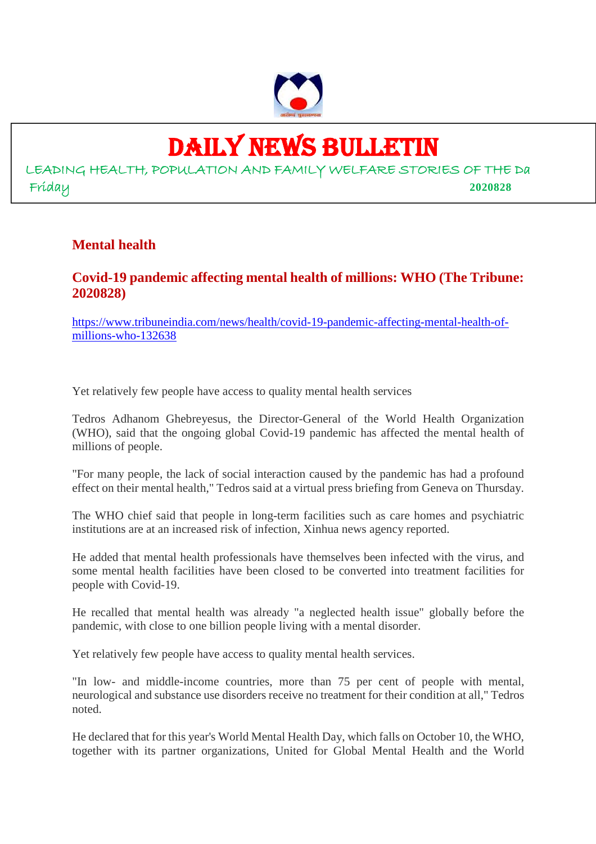

## DAILY NEWS BULLETIN

LEADING HEALTH, POPULATION AND FAMILY WELFARE STORIES OF THE Da Friday **2020828**

#### **Mental health**

#### **Covid-19 pandemic affecting mental health of millions: WHO (The Tribune: 2020828)**

https://www.tribuneindia.com/news/health/covid-19-pandemic-affecting-mental-health-ofmillions-who-132638

Yet relatively few people have access to quality mental health services

Tedros Adhanom Ghebreyesus, the Director-General of the World Health Organization (WHO), said that the ongoing global Covid-19 pandemic has affected the mental health of millions of people.

"For many people, the lack of social interaction caused by the pandemic has had a profound effect on their mental health," Tedros said at a virtual press briefing from Geneva on Thursday.

The WHO chief said that people in long-term facilities such as care homes and psychiatric institutions are at an increased risk of infection, Xinhua news agency reported.

He added that mental health professionals have themselves been infected with the virus, and some mental health facilities have been closed to be converted into treatment facilities for people with Covid-19.

He recalled that mental health was already "a neglected health issue" globally before the pandemic, with close to one billion people living with a mental disorder.

Yet relatively few people have access to quality mental health services.

"In low- and middle-income countries, more than 75 per cent of people with mental, neurological and substance use disorders receive no treatment for their condition at all," Tedros noted.

He declared that for this year's World Mental Health Day, which falls on October 10, the WHO, together with its partner organizations, United for Global Mental Health and the World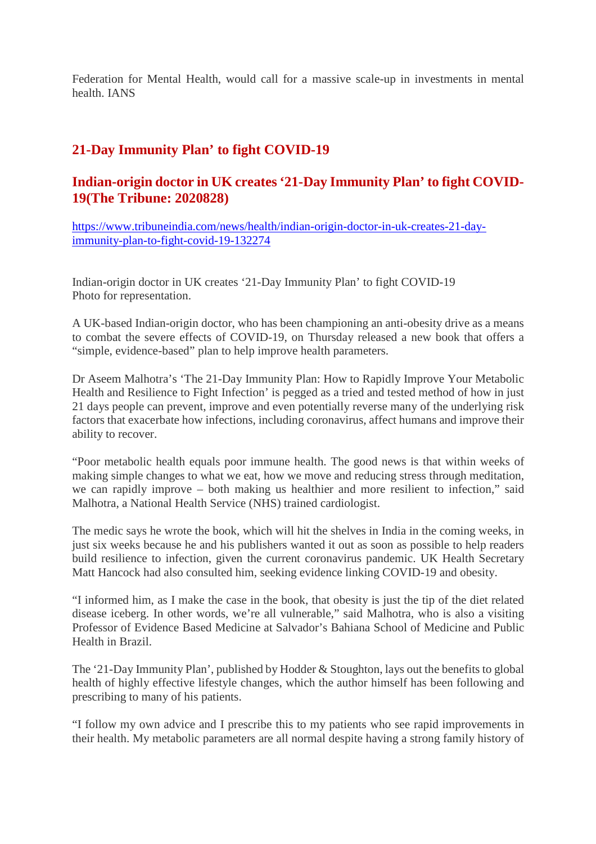Federation for Mental Health, would call for a massive scale-up in investments in mental health. IANS

#### **21-Day Immunity Plan' to fight COVID-19**

#### **Indian-origin doctor in UK creates '21-Day Immunity Plan' to fight COVID-19(The Tribune: 2020828)**

https://www.tribuneindia.com/news/health/indian-origin-doctor-in-uk-creates-21-dayimmunity-plan-to-fight-covid-19-132274

Indian-origin doctor in UK creates '21-Day Immunity Plan' to fight COVID-19 Photo for representation.

A UK-based Indian-origin doctor, who has been championing an anti-obesity drive as a means to combat the severe effects of COVID-19, on Thursday released a new book that offers a "simple, evidence-based" plan to help improve health parameters.

Dr Aseem Malhotra's 'The 21-Day Immunity Plan: How to Rapidly Improve Your Metabolic Health and Resilience to Fight Infection' is pegged as a tried and tested method of how in just 21 days people can prevent, improve and even potentially reverse many of the underlying risk factors that exacerbate how infections, including coronavirus, affect humans and improve their ability to recover.

"Poor metabolic health equals poor immune health. The good news is that within weeks of making simple changes to what we eat, how we move and reducing stress through meditation, we can rapidly improve – both making us healthier and more resilient to infection," said Malhotra, a National Health Service (NHS) trained cardiologist.

The medic says he wrote the book, which will hit the shelves in India in the coming weeks, in just six weeks because he and his publishers wanted it out as soon as possible to help readers build resilience to infection, given the current coronavirus pandemic. UK Health Secretary Matt Hancock had also consulted him, seeking evidence linking COVID-19 and obesity.

"I informed him, as I make the case in the book, that obesity is just the tip of the diet related disease iceberg. In other words, we're all vulnerable," said Malhotra, who is also a visiting Professor of Evidence Based Medicine at Salvador's Bahiana School of Medicine and Public Health in Brazil.

The '21-Day Immunity Plan', published by Hodder & Stoughton, lays out the benefits to global health of highly effective lifestyle changes, which the author himself has been following and prescribing to many of his patients.

"I follow my own advice and I prescribe this to my patients who see rapid improvements in their health. My metabolic parameters are all normal despite having a strong family history of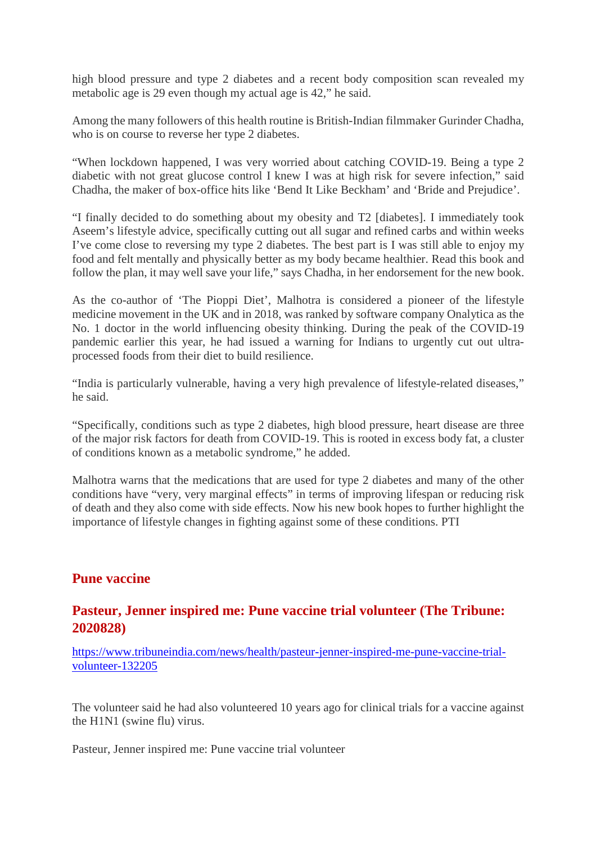high blood pressure and type 2 diabetes and a recent body composition scan revealed my metabolic age is 29 even though my actual age is 42," he said.

Among the many followers of this health routine is British-Indian filmmaker Gurinder Chadha, who is on course to reverse her type 2 diabetes.

"When lockdown happened, I was very worried about catching COVID-19. Being a type 2 diabetic with not great glucose control I knew I was at high risk for severe infection," said Chadha, the maker of box-office hits like 'Bend It Like Beckham' and 'Bride and Prejudice'.

"I finally decided to do something about my obesity and T2 [diabetes]. I immediately took Aseem's lifestyle advice, specifically cutting out all sugar and refined carbs and within weeks I've come close to reversing my type 2 diabetes. The best part is I was still able to enjoy my food and felt mentally and physically better as my body became healthier. Read this book and follow the plan, it may well save your life," says Chadha, in her endorsement for the new book.

As the co-author of 'The Pioppi Diet', Malhotra is considered a pioneer of the lifestyle medicine movement in the UK and in 2018, was ranked by software company Onalytica as the No. 1 doctor in the world influencing obesity thinking. During the peak of the COVID-19 pandemic earlier this year, he had issued a warning for Indians to urgently cut out ultraprocessed foods from their diet to build resilience.

"India is particularly vulnerable, having a very high prevalence of lifestyle-related diseases," he said.

"Specifically, conditions such as type 2 diabetes, high blood pressure, heart disease are three of the major risk factors for death from COVID-19. This is rooted in excess body fat, a cluster of conditions known as a metabolic syndrome," he added.

Malhotra warns that the medications that are used for type 2 diabetes and many of the other conditions have "very, very marginal effects" in terms of improving lifespan or reducing risk of death and they also come with side effects. Now his new book hopes to further highlight the importance of lifestyle changes in fighting against some of these conditions. PTI

#### **Pune vaccine**

#### **Pasteur, Jenner inspired me: Pune vaccine trial volunteer (The Tribune: 2020828)**

https://www.tribuneindia.com/news/health/pasteur-jenner-inspired-me-pune-vaccine-trialvolunteer-132205

The volunteer said he had also volunteered 10 years ago for clinical trials for a vaccine against the H1N1 (swine flu) virus.

Pasteur, Jenner inspired me: Pune vaccine trial volunteer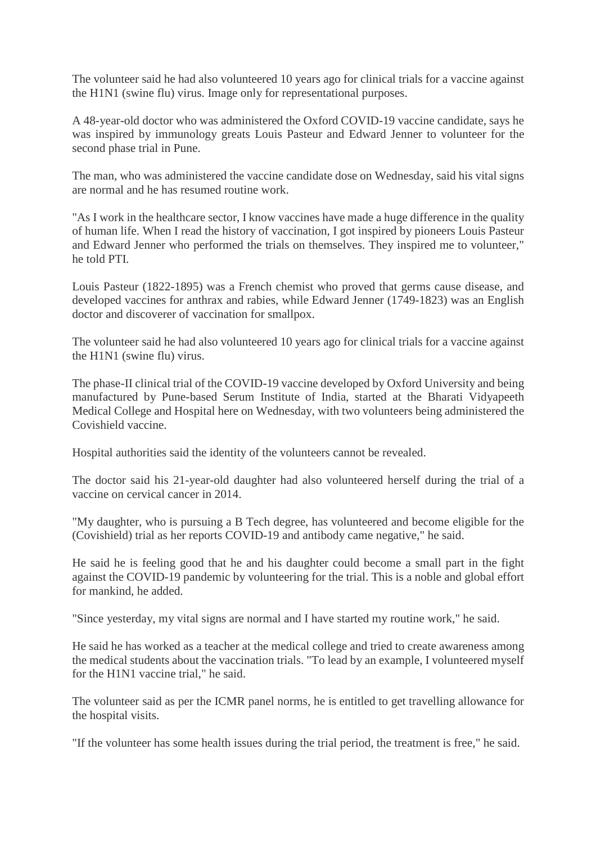The volunteer said he had also volunteered 10 years ago for clinical trials for a vaccine against the H1N1 (swine flu) virus. Image only for representational purposes.

A 48-year-old doctor who was administered the Oxford COVID-19 vaccine candidate, says he was inspired by immunology greats Louis Pasteur and Edward Jenner to volunteer for the second phase trial in Pune.

The man, who was administered the vaccine candidate dose on Wednesday, said his vital signs are normal and he has resumed routine work.

"As I work in the healthcare sector, I know vaccines have made a huge difference in the quality of human life. When I read the history of vaccination, I got inspired by pioneers Louis Pasteur and Edward Jenner who performed the trials on themselves. They inspired me to volunteer," he told PTI.

Louis Pasteur (1822-1895) was a French chemist who proved that germs cause disease, and developed vaccines for anthrax and rabies, while Edward Jenner (1749-1823) was an English doctor and discoverer of vaccination for smallpox.

The volunteer said he had also volunteered 10 years ago for clinical trials for a vaccine against the H1N1 (swine flu) virus.

The phase-II clinical trial of the COVID-19 vaccine developed by Oxford University and being manufactured by Pune-based Serum Institute of India, started at the Bharati Vidyapeeth Medical College and Hospital here on Wednesday, with two volunteers being administered the Covishield vaccine.

Hospital authorities said the identity of the volunteers cannot be revealed.

The doctor said his 21-year-old daughter had also volunteered herself during the trial of a vaccine on cervical cancer in 2014.

"My daughter, who is pursuing a B Tech degree, has volunteered and become eligible for the (Covishield) trial as her reports COVID-19 and antibody came negative," he said.

He said he is feeling good that he and his daughter could become a small part in the fight against the COVID-19 pandemic by volunteering for the trial. This is a noble and global effort for mankind, he added.

"Since yesterday, my vital signs are normal and I have started my routine work," he said.

He said he has worked as a teacher at the medical college and tried to create awareness among the medical students about the vaccination trials. "To lead by an example, I volunteered myself for the H1N1 vaccine trial," he said.

The volunteer said as per the ICMR panel norms, he is entitled to get travelling allowance for the hospital visits.

"If the volunteer has some health issues during the trial period, the treatment is free," he said.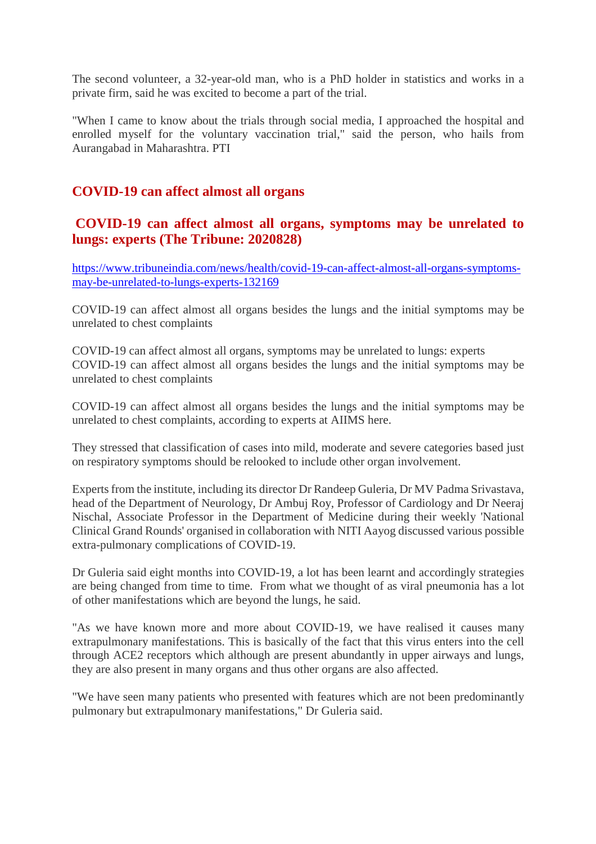The second volunteer, a 32-year-old man, who is a PhD holder in statistics and works in a private firm, said he was excited to become a part of the trial.

"When I came to know about the trials through social media, I approached the hospital and enrolled myself for the voluntary vaccination trial," said the person, who hails from Aurangabad in Maharashtra. PTI

#### **COVID-19 can affect almost all organs**

#### **COVID-19 can affect almost all organs, symptoms may be unrelated to lungs: experts (The Tribune: 2020828)**

https://www.tribuneindia.com/news/health/covid-19-can-affect-almost-all-organs-symptomsmay-be-unrelated-to-lungs-experts-132169

COVID-19 can affect almost all organs besides the lungs and the initial symptoms may be unrelated to chest complaints

COVID-19 can affect almost all organs, symptoms may be unrelated to lungs: experts COVID-19 can affect almost all organs besides the lungs and the initial symptoms may be unrelated to chest complaints

COVID-19 can affect almost all organs besides the lungs and the initial symptoms may be unrelated to chest complaints, according to experts at AIIMS here.

They stressed that classification of cases into mild, moderate and severe categories based just on respiratory symptoms should be relooked to include other organ involvement.

Experts from the institute, including its director Dr Randeep Guleria, Dr MV Padma Srivastava, head of the Department of Neurology, Dr Ambuj Roy, Professor of Cardiology and Dr Neeraj Nischal, Associate Professor in the Department of Medicine during their weekly 'National Clinical Grand Rounds' organised in collaboration with NITI Aayog discussed various possible extra-pulmonary complications of COVID-19.

Dr Guleria said eight months into COVID-19, a lot has been learnt and accordingly strategies are being changed from time to time. From what we thought of as viral pneumonia has a lot of other manifestations which are beyond the lungs, he said.

"As we have known more and more about COVID-19, we have realised it causes many extrapulmonary manifestations. This is basically of the fact that this virus enters into the cell through ACE2 receptors which although are present abundantly in upper airways and lungs, they are also present in many organs and thus other organs are also affected.

"We have seen many patients who presented with features which are not been predominantly pulmonary but extrapulmonary manifestations," Dr Guleria said.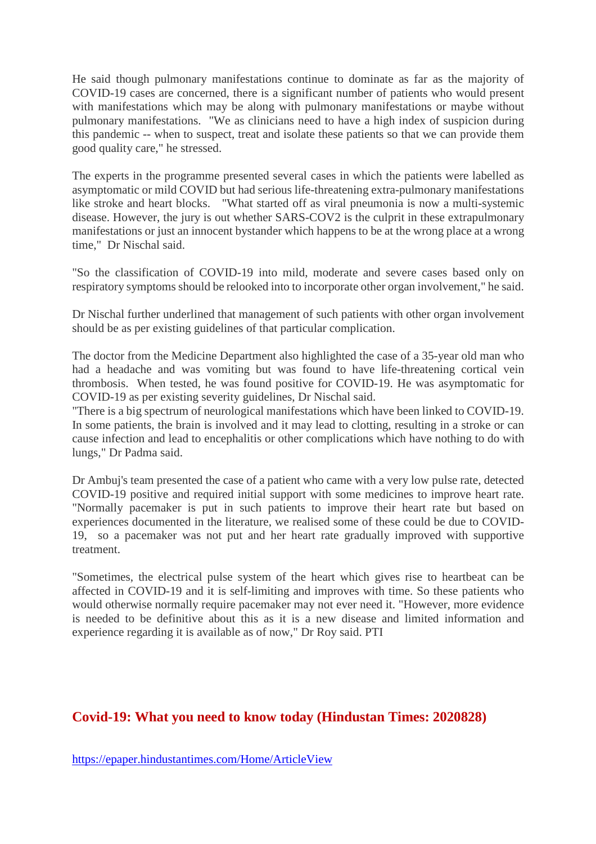He said though pulmonary manifestations continue to dominate as far as the majority of COVID-19 cases are concerned, there is a significant number of patients who would present with manifestations which may be along with pulmonary manifestations or maybe without pulmonary manifestations. "We as clinicians need to have a high index of suspicion during this pandemic -- when to suspect, treat and isolate these patients so that we can provide them good quality care," he stressed.

The experts in the programme presented several cases in which the patients were labelled as asymptomatic or mild COVID but had serious life-threatening extra-pulmonary manifestations like stroke and heart blocks. "What started off as viral pneumonia is now a multi-systemic disease. However, the jury is out whether SARS-COV2 is the culprit in these extrapulmonary manifestations or just an innocent bystander which happens to be at the wrong place at a wrong time," Dr Nischal said.

"So the classification of COVID-19 into mild, moderate and severe cases based only on respiratory symptoms should be relooked into to incorporate other organ involvement," he said.

Dr Nischal further underlined that management of such patients with other organ involvement should be as per existing guidelines of that particular complication.

The doctor from the Medicine Department also highlighted the case of a 35-year old man who had a headache and was vomiting but was found to have life-threatening cortical vein thrombosis. When tested, he was found positive for COVID-19. He was asymptomatic for COVID-19 as per existing severity guidelines, Dr Nischal said.

"There is a big spectrum of neurological manifestations which have been linked to COVID-19. In some patients, the brain is involved and it may lead to clotting, resulting in a stroke or can cause infection and lead to encephalitis or other complications which have nothing to do with lungs," Dr Padma said.

Dr Ambuj's team presented the case of a patient who came with a very low pulse rate, detected COVID-19 positive and required initial support with some medicines to improve heart rate. "Normally pacemaker is put in such patients to improve their heart rate but based on experiences documented in the literature, we realised some of these could be due to COVID-19, so a pacemaker was not put and her heart rate gradually improved with supportive treatment.

"Sometimes, the electrical pulse system of the heart which gives rise to heartbeat can be affected in COVID-19 and it is self-limiting and improves with time. So these patients who would otherwise normally require pacemaker may not ever need it. "However, more evidence is needed to be definitive about this as it is a new disease and limited information and experience regarding it is available as of now," Dr Roy said. PTI

#### **Covid-19: What you need to know today (Hindustan Times: 2020828)**

https://epaper.hindustantimes.com/Home/ArticleView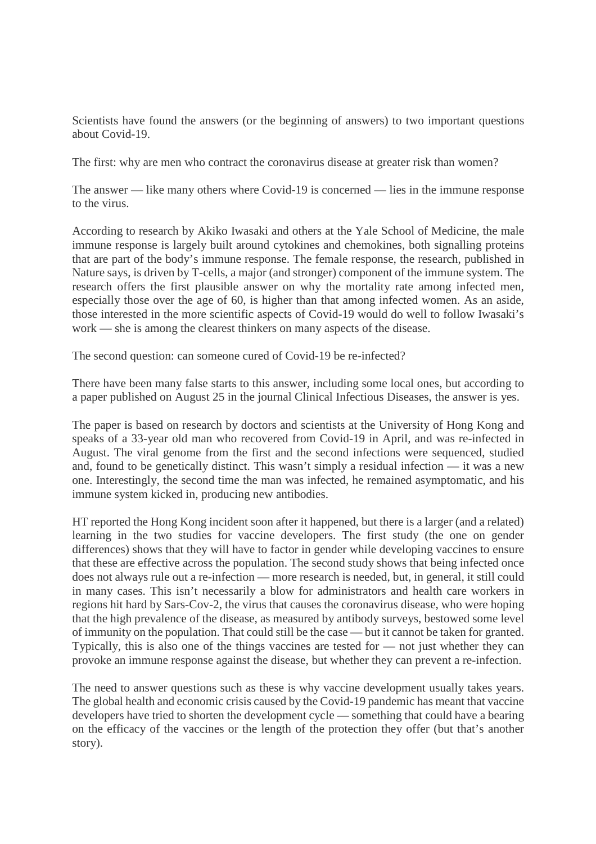Scientists have found the answers (or the beginning of answers) to two important questions about Covid-19.

The first: why are men who contract the coronavirus disease at greater risk than women?

The answer — like many others where Covid-19 is concerned — lies in the immune response to the virus.

According to research by Akiko Iwasaki and others at the Yale School of Medicine, the male immune response is largely built around cytokines and chemokines, both signalling proteins that are part of the body's immune response. The female response, the research, published in Nature says, is driven by T-cells, a major (and stronger) component of the immune system. The research offers the first plausible answer on why the mortality rate among infected men, especially those over the age of 60, is higher than that among infected women. As an aside, those interested in the more scientific aspects of Covid-19 would do well to follow Iwasaki's work — she is among the clearest thinkers on many aspects of the disease.

The second question: can someone cured of Covid-19 be re-infected?

There have been many false starts to this answer, including some local ones, but according to a paper published on August 25 in the journal Clinical Infectious Diseases, the answer is yes.

The paper is based on research by doctors and scientists at the University of Hong Kong and speaks of a 33-year old man who recovered from Covid-19 in April, and was re-infected in August. The viral genome from the first and the second infections were sequenced, studied and, found to be genetically distinct. This wasn't simply a residual infection — it was a new one. Interestingly, the second time the man was infected, he remained asymptomatic, and his immune system kicked in, producing new antibodies.

HT reported the Hong Kong incident soon after it happened, but there is a larger (and a related) learning in the two studies for vaccine developers. The first study (the one on gender differences) shows that they will have to factor in gender while developing vaccines to ensure that these are effective across the population. The second study shows that being infected once does not always rule out a re-infection — more research is needed, but, in general, it still could in many cases. This isn't necessarily a blow for administrators and health care workers in regions hit hard by Sars-Cov-2, the virus that causes the coronavirus disease, who were hoping that the high prevalence of the disease, as measured by antibody surveys, bestowed some level of immunity on the population. That could still be the case — but it cannot be taken for granted. Typically, this is also one of the things vaccines are tested for — not just whether they can provoke an immune response against the disease, but whether they can prevent a re-infection.

The need to answer questions such as these is why vaccine development usually takes years. The global health and economic crisis caused by the Covid-19 pandemic has meant that vaccine developers have tried to shorten the development cycle — something that could have a bearing on the efficacy of the vaccines or the length of the protection they offer (but that's another story).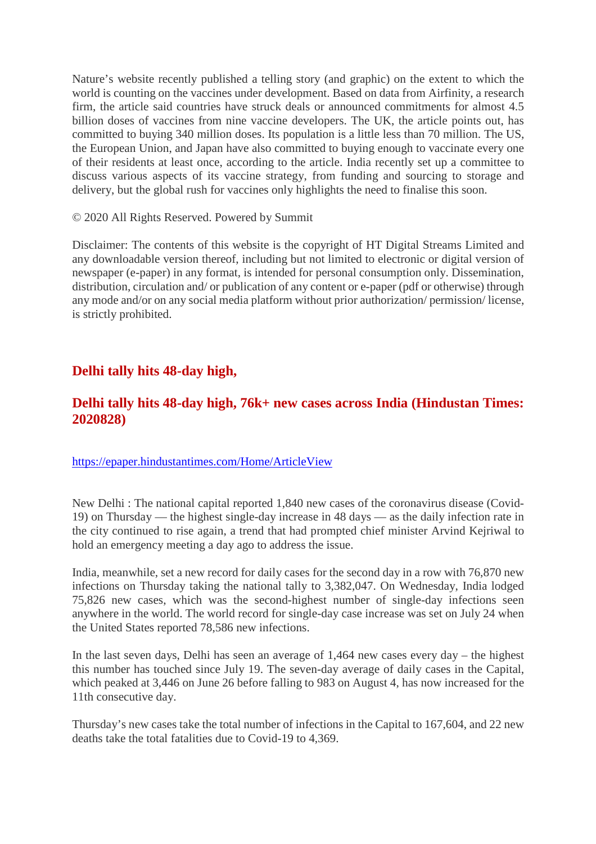Nature's website recently published a telling story (and graphic) on the extent to which the world is counting on the vaccines under development. Based on data from Airfinity, a research firm, the article said countries have struck deals or announced commitments for almost 4.5 billion doses of vaccines from nine vaccine developers. The UK, the article points out, has committed to buying 340 million doses. Its population is a little less than 70 million. The US, the European Union, and Japan have also committed to buying enough to vaccinate every one of their residents at least once, according to the article. India recently set up a committee to discuss various aspects of its vaccine strategy, from funding and sourcing to storage and delivery, but the global rush for vaccines only highlights the need to finalise this soon.

#### © 2020 All Rights Reserved. Powered by Summit

Disclaimer: The contents of this website is the copyright of HT Digital Streams Limited and any downloadable version thereof, including but not limited to electronic or digital version of newspaper (e-paper) in any format, is intended for personal consumption only. Dissemination, distribution, circulation and/ or publication of any content or e-paper (pdf or otherwise) through any mode and/or on any social media platform without prior authorization/ permission/ license, is strictly prohibited.

#### **Delhi tally hits 48-day high,**

#### **Delhi tally hits 48-day high, 76k+ new cases across India (Hindustan Times: 2020828)**

#### https://epaper.hindustantimes.com/Home/ArticleView

New Delhi : The national capital reported 1,840 new cases of the coronavirus disease (Covid-19) on Thursday — the highest single-day increase in 48 days — as the daily infection rate in the city continued to rise again, a trend that had prompted chief minister Arvind Kejriwal to hold an emergency meeting a day ago to address the issue.

India, meanwhile, set a new record for daily cases for the second day in a row with 76,870 new infections on Thursday taking the national tally to 3,382,047. On Wednesday, India lodged 75,826 new cases, which was the second-highest number of single-day infections seen anywhere in the world. The world record for single-day case increase was set on July 24 when the United States reported 78,586 new infections.

In the last seven days, Delhi has seen an average of 1,464 new cases every day – the highest this number has touched since July 19. The seven-day average of daily cases in the Capital, which peaked at 3,446 on June 26 before falling to 983 on August 4, has now increased for the 11th consecutive day.

Thursday's new cases take the total number of infections in the Capital to 167,604, and 22 new deaths take the total fatalities due to Covid-19 to 4,369.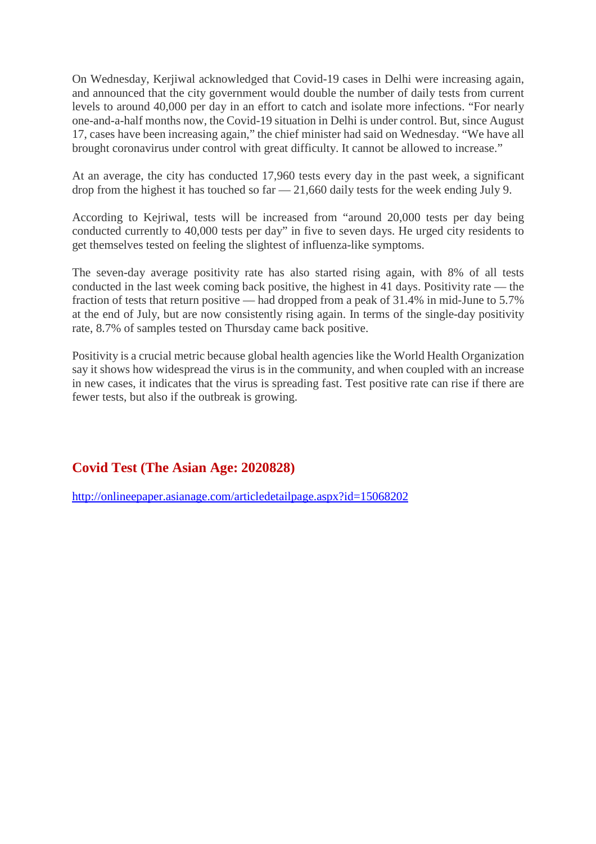On Wednesday, Kerjiwal acknowledged that Covid-19 cases in Delhi were increasing again, and announced that the city government would double the number of daily tests from current levels to around 40,000 per day in an effort to catch and isolate more infections. "For nearly one-and-a-half months now, the Covid-19 situation in Delhi is under control. But, since August 17, cases have been increasing again," the chief minister had said on Wednesday. "We have all brought coronavirus under control with great difficulty. It cannot be allowed to increase."

At an average, the city has conducted 17,960 tests every day in the past week, a significant drop from the highest it has touched so far — 21,660 daily tests for the week ending July 9.

According to Kejriwal, tests will be increased from "around 20,000 tests per day being conducted currently to 40,000 tests per day" in five to seven days. He urged city residents to get themselves tested on feeling the slightest of influenza-like symptoms.

The seven-day average positivity rate has also started rising again, with 8% of all tests conducted in the last week coming back positive, the highest in 41 days. Positivity rate — the fraction of tests that return positive — had dropped from a peak of 31.4% in mid-June to 5.7% at the end of July, but are now consistently rising again. In terms of the single-day positivity rate, 8.7% of samples tested on Thursday came back positive.

Positivity is a crucial metric because global health agencies like the World Health Organization say it shows how widespread the virus is in the community, and when coupled with an increase in new cases, it indicates that the virus is spreading fast. Test positive rate can rise if there are fewer tests, but also if the outbreak is growing.

#### **Covid Test (The Asian Age: 2020828)**

http://onlineepaper.asianage.com/articledetailpage.aspx?id=15068202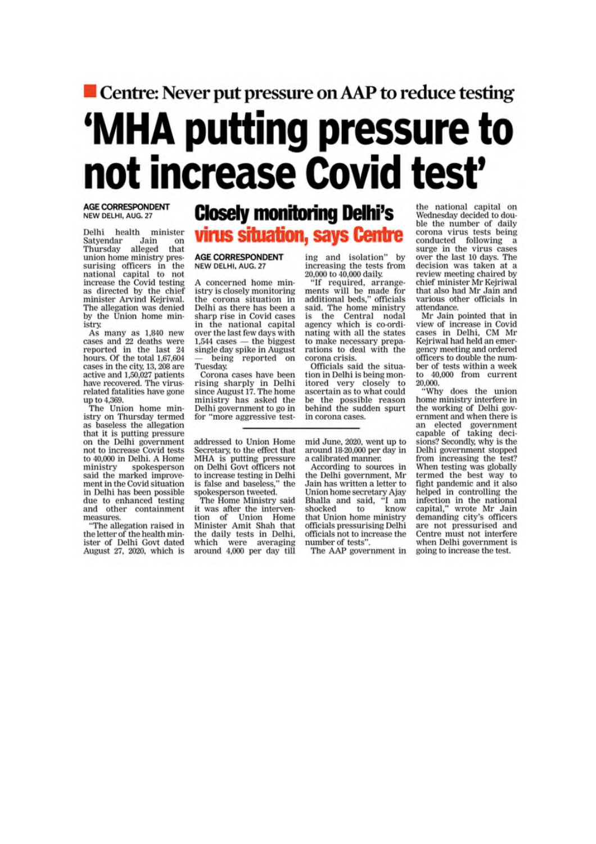## Centre: Never put pressure on AAP to reduce testing 'MHA putting pressure to not increase Covid test'

#### **AGE CORRESPONDENT** NEW DELHI, AUG. 27

Delhi health minister Satyendar Jain on<br>Thursday alleged that union home ministry pressurising officers in the<br>national capital to not increase the Covid testing<br>as directed by the chief minister Arvind Kejriwal. The allegation was denied by the Union home ministry.

As many as 1,840 new<br>cases and 22 deaths were<br>reported in the last 24<br>hours. Of the total 1,67,604 cases in the city, 13, 208 are active and 1,50,027 patients have recovered. The virusrelated fatalities have gone up to 4,369.<br>The Union home min-

istry on Thursday termed as baseless the allegation that it is putting pressure on the Delhi government not to increase Covid tests to 40,000 in Delhi. A Home ministry spokesperson said the marked improvement in the Covid situation in Delhi has been possible due to enhanced testing and other containment measures.

"The allegation raised in the letter of the health minister of Delhi Govt dated August 27, 2020, which is

### **Closely monitoring Delhi's** virus situation, says Centre

#### **AGE CORRESPONDENT** NEW DELHI, AUG. 27

A concerned home ministry is closely monitoring the corona situation in Delhi as there has been a sharp rise in Covid cases in the national capital over the last few days with  $1.544$  cases  $-$  the biggest single day spike in August being reported on Tuesday

Corona cases have been rising sharply in Delhi<br>since August 17. The home ministry has asked the<br>Delhi government to go in for "more aggressive test-

addressed to Union Home Secretary, to the effect that MHA is putting pressure<br>on Delhi Govt officers not to increase testing in Delhi is false and baseless," the spokesperson tweeted.

The Home Ministry said it was after the intervention of Union Home<br>Minister Amit Shah that the daily tests in Delhi, which were averaging around 4,000 per day till

ing and isolation" by increasing the tests from 20,000 to 40,000 daily.

"If required, arrangements will be made for<br>additional beds," officials<br>said. The home ministry is the Central nodal agency which is co-ordinating with all the states to make necessary preparations to deal with the corona crisis.

Officials said the situation in Delhi is being monitored very closely to ascertain as to what could be the possible reason<br>behind the sudden spurt in corona cases.

mid June, 2020, went up to around 18-20,000 per day in a calibrated manner.

According to sources in the Delhi government, Mr Jain has written a letter to Union home secretary Ajay<br>Bhalla and said, "I am Bhalla and said, shocked know to that Union home ministry officials pressurising Delhi officials not to increase the number of tests".

The AAP government in

the national capital on Wednesday decided to double the number of daily corona virus tests being conducted following a surge in the virus cases over the last 10 days. The decision was taken at a review meeting chaired by chief minister Mr Kejriwal that also had Mr Jain and various other officials in attendance.

Mr Jain pointed that in view of increase in Covid cases in Delhi, CM Mr Keiriwal had held an emergency meeting and ordered officers to double the number of tests within a week to 40,000 from current 20,000.<br>"Why does the union

home ministry interfere in the working of Delhi government and when there is an elected government<br>capable of taking decisions? Secondly, why is the Delhi government stopped from increasing the test? When testing was globally termed the best way to fight pandemic and it also helped in controlling the infection in the national<br>capital," wrote Mr Jain demanding city's officers are not pressurised and Centre must not interfere when Delhi government is going to increase the test.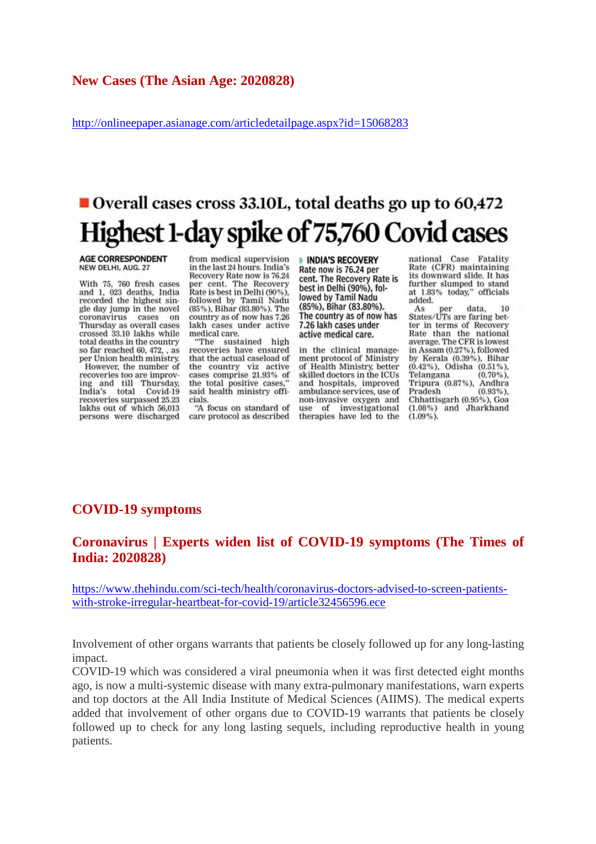#### **New Cases (The Asian Age: 2020828)**

http://onlineepaper.asianage.com/articledetailpage.aspx?id=15068283

## Overall cases cross 33.10L, total deaths go up to 60.472 Highest 1-day spike of 75,760 Covid cases

#### **AGE CORRESPONDENT** NEW DELHI, AUG. 27

With 75, 760 fresh cases and 1, 023 deaths, India recorded the highest single day jump in the novel coronavirus cases on Thursday as overall cases crossed 33.10 lakhs while total deaths in the country so far reached 60, 472, , as per Union health ministry. However, the number of recoveries too are improving and till Thursday,<br>India's total Covid-19 recoveries surpassed 25.23 lakhs out of which 56,013 persons were discharged

from medical supervision in the last 24 hours. India's Recovery Rate now is 76.24 per cent. The Recovery Rate is best in Delhi (90%), followed by Tamil Nadu<br>(85%), Bihar (83.80%). The country as of now has 7.26 lakh cases under active medical care.

"The sustained high<br>recoveries have ensured that the actual caseload of the country viz active cases comprise 21.93% of the total positive cases,"<br>said health ministry officials.

"A focus on standard of care protocol as described

**INDIA'S RECOVERY** Rate now is 76.24 per cent. The Recovery Rate is best in Delhi (90%), followed by Tamil Nadu (85%), Bihar (83.80%). The country as of now has 7.26 lakh cases under active medical care.

in the clinical management protocol of Ministry of Health Ministry better skilled doctors in the ICUs and hospitals, improved ambulance services, use of non-invasive oxygen and use of investigational therapies have led to the national Case Fatality<br>Rate (CFR) maintaining its downward slide. It has further slumped to stand<br>at 1.83% today," officials added.

As per data, 10<br>States/UTs are faring better in terms of Recovery Rate than the national<br>average. The CFR is lowest average. The CFK is lowest<br>in Assam (0.27%), followed<br>by Kerala (0.39%), Bihar<br>(0.42%), Odisha (0.51%), Telangana Tripura (0.87%), Andhra Pradesh  $(0.93\%).$ Chhattisgarh (0.95%), Goa (1.08%) and Jharkhand  $(1.09\%)$ .

#### **COVID-19 symptoms**

#### **Coronavirus | Experts widen list of COVID-19 symptoms (The Times of India: 2020828)**

https://www.thehindu.com/sci-tech/health/coronavirus-doctors-advised-to-screen-patientswith-stroke-irregular-heartbeat-for-covid-19/article32456596.ece

Involvement of other organs warrants that patients be closely followed up for any long-lasting impact.

COVID-19 which was considered a viral pneumonia when it was first detected eight months ago, is now a multi-systemic disease with many extra-pulmonary manifestations, warn experts and top doctors at the All India Institute of Medical Sciences (AIIMS). The medical experts added that involvement of other organs due to COVID-19 warrants that patients be closely followed up to check for any long lasting sequels, including reproductive health in young patients.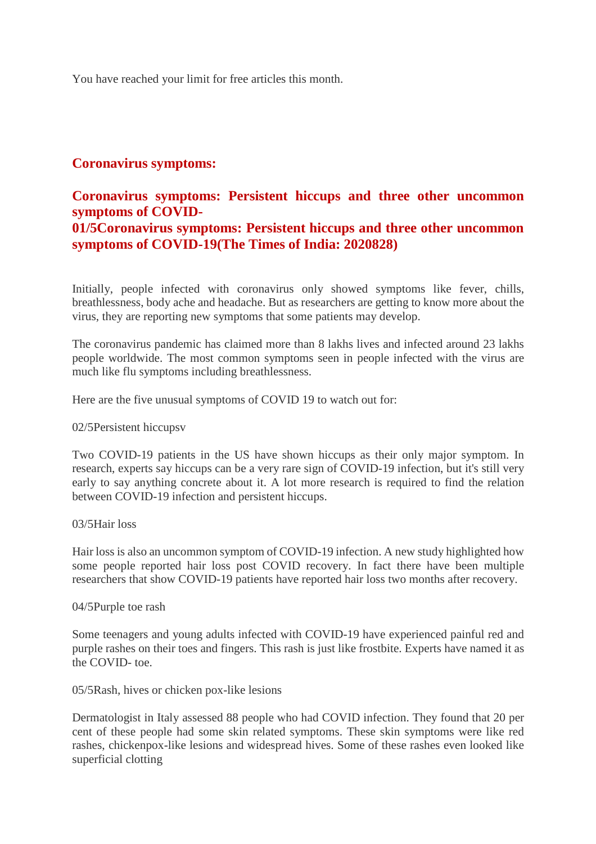You have reached your limit for free articles this month.

#### **Coronavirus symptoms:**

#### **Coronavirus symptoms: Persistent hiccups and three other uncommon symptoms of COVID-**

#### **01/5Coronavirus symptoms: Persistent hiccups and three other uncommon symptoms of COVID-19(The Times of India: 2020828)**

Initially, people infected with coronavirus only showed symptoms like fever, chills, breathlessness, body ache and headache. But as researchers are getting to know more about the virus, they are reporting new symptoms that some patients may develop.

The coronavirus pandemic has claimed more than 8 lakhs lives and infected around 23 lakhs people worldwide. The most common symptoms seen in people infected with the virus are much like flu symptoms including breathlessness.

Here are the five unusual symptoms of COVID 19 to watch out for:

#### 02/5Persistent hiccupsv

Two COVID-19 patients in the US have shown hiccups as their only major symptom. In research, experts say hiccups can be a very rare sign of COVID-19 infection, but it's still very early to say anything concrete about it. A lot more research is required to find the relation between COVID-19 infection and persistent hiccups.

#### 03/5Hair loss

Hair loss is also an uncommon symptom of COVID-19 infection. A new study highlighted how some people reported hair loss post COVID recovery. In fact there have been multiple researchers that show COVID-19 patients have reported hair loss two months after recovery.

#### 04/5Purple toe rash

Some teenagers and young adults infected with COVID-19 have experienced painful red and purple rashes on their toes and fingers. This rash is just like frostbite. Experts have named it as the COVID- toe.

#### 05/5Rash, hives or chicken pox-like lesions

Dermatologist in Italy assessed 88 people who had COVID infection. They found that 20 per cent of these people had some skin related symptoms. These skin symptoms were like red rashes, chickenpox-like lesions and widespread hives. Some of these rashes even looked like superficial clotting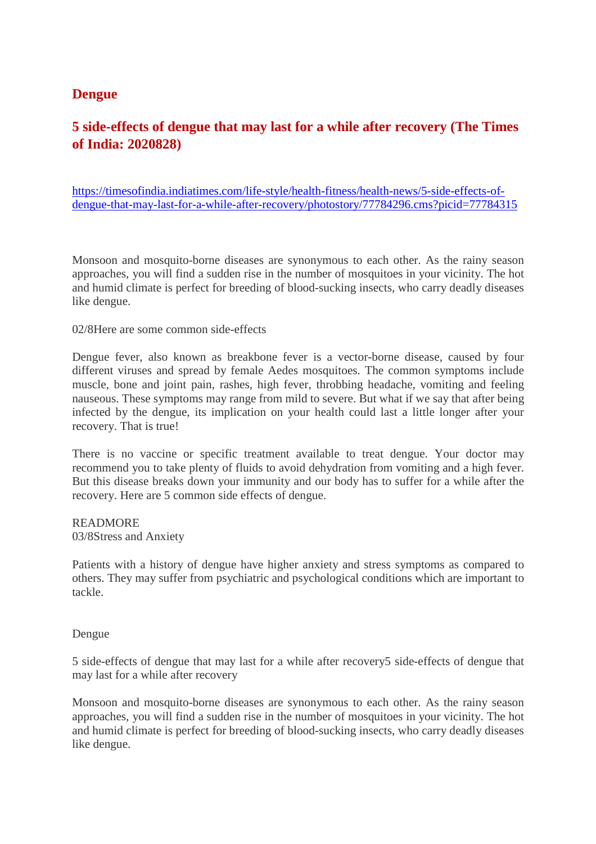#### **Dengue**

#### **5 side-effects of dengue that may last for a while after recovery (The Times of India: 2020828)**

https://timesofindia.indiatimes.com/life-style/health-fitness/health-news/5-side-effects-ofdengue-that-may-last-for-a-while-after-recovery/photostory/77784296.cms?picid=77784315

Monsoon and mosquito-borne diseases are synonymous to each other. As the rainy season approaches, you will find a sudden rise in the number of mosquitoes in your vicinity. The hot and humid climate is perfect for breeding of blood-sucking insects, who carry deadly diseases like dengue.

#### 02/8Here are some common side-effects

Dengue fever, also known as breakbone fever is a vector-borne disease, caused by four different viruses and spread by female Aedes mosquitoes. The common symptoms include muscle, bone and joint pain, rashes, high fever, throbbing headache, vomiting and feeling nauseous. These symptoms may range from mild to severe. But what if we say that after being infected by the dengue, its implication on your health could last a little longer after your recovery. That is true!

There is no vaccine or specific treatment available to treat dengue. Your doctor may recommend you to take plenty of fluids to avoid dehydration from vomiting and a high fever. But this disease breaks down your immunity and our body has to suffer for a while after the recovery. Here are 5 common side effects of dengue.

#### READMORE 03/8Stress and Anxiety

Patients with a history of dengue have higher anxiety and stress symptoms as compared to others. They may suffer from psychiatric and psychological conditions which are important to tackle.

#### Dengue

5 side-effects of dengue that may last for a while after recovery5 side-effects of dengue that may last for a while after recovery

Monsoon and mosquito-borne diseases are synonymous to each other. As the rainy season approaches, you will find a sudden rise in the number of mosquitoes in your vicinity. The hot and humid climate is perfect for breeding of blood-sucking insects, who carry deadly diseases like dengue.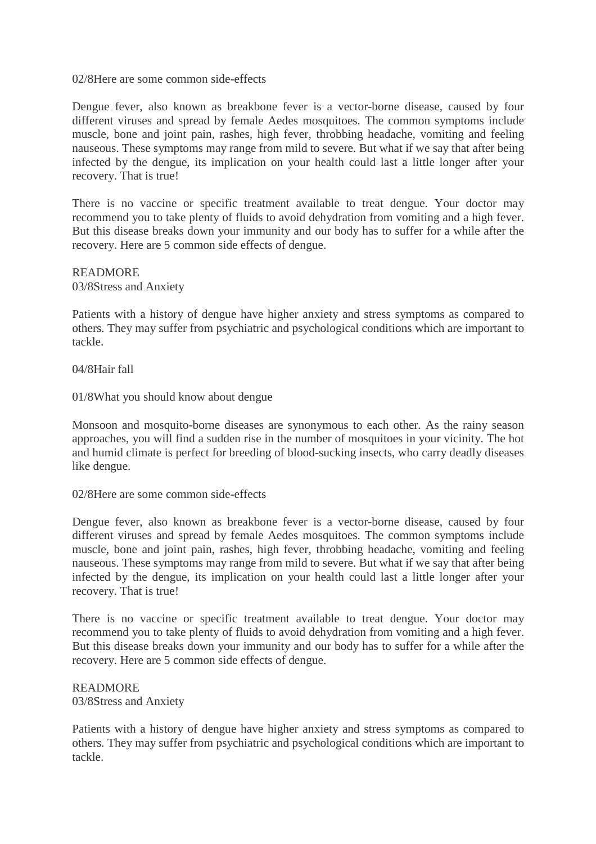#### 02/8Here are some common side-effects

Dengue fever, also known as breakbone fever is a vector-borne disease, caused by four different viruses and spread by female Aedes mosquitoes. The common symptoms include muscle, bone and joint pain, rashes, high fever, throbbing headache, vomiting and feeling nauseous. These symptoms may range from mild to severe. But what if we say that after being infected by the dengue, its implication on your health could last a little longer after your recovery. That is true!

There is no vaccine or specific treatment available to treat dengue. Your doctor may recommend you to take plenty of fluids to avoid dehydration from vomiting and a high fever. But this disease breaks down your immunity and our body has to suffer for a while after the recovery. Here are 5 common side effects of dengue.

READMORE 03/8Stress and Anxiety

Patients with a history of dengue have higher anxiety and stress symptoms as compared to others. They may suffer from psychiatric and psychological conditions which are important to tackle.

04/8Hair fall

01/8What you should know about dengue

Monsoon and mosquito-borne diseases are synonymous to each other. As the rainy season approaches, you will find a sudden rise in the number of mosquitoes in your vicinity. The hot and humid climate is perfect for breeding of blood-sucking insects, who carry deadly diseases like dengue.

02/8Here are some common side-effects

Dengue fever, also known as breakbone fever is a vector-borne disease, caused by four different viruses and spread by female Aedes mosquitoes. The common symptoms include muscle, bone and joint pain, rashes, high fever, throbbing headache, vomiting and feeling nauseous. These symptoms may range from mild to severe. But what if we say that after being infected by the dengue, its implication on your health could last a little longer after your recovery. That is true!

There is no vaccine or specific treatment available to treat dengue. Your doctor may recommend you to take plenty of fluids to avoid dehydration from vomiting and a high fever. But this disease breaks down your immunity and our body has to suffer for a while after the recovery. Here are 5 common side effects of dengue.

#### READMORE 03/8Stress and Anxiety

Patients with a history of dengue have higher anxiety and stress symptoms as compared to others. They may suffer from psychiatric and psychological conditions which are important to tackle.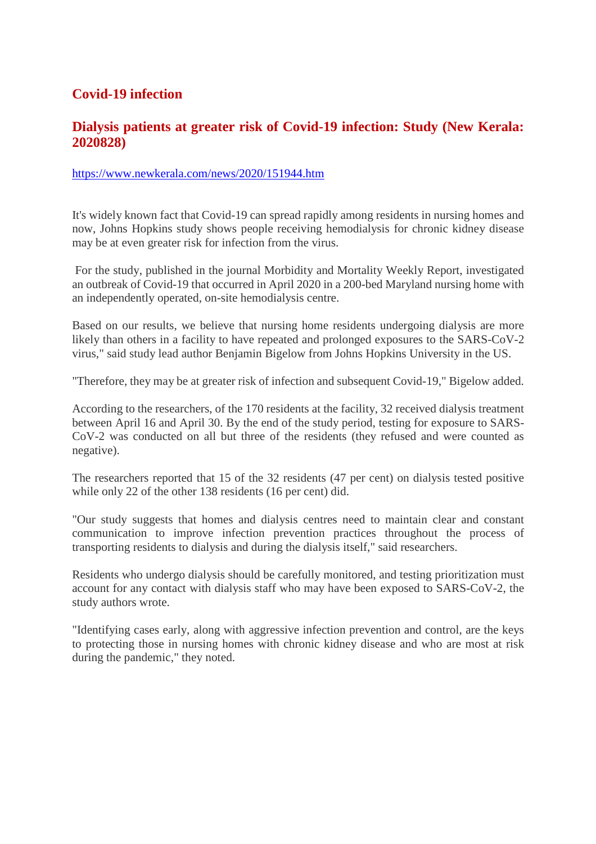#### **Covid-19 infection**

#### **Dialysis patients at greater risk of Covid-19 infection: Study (New Kerala: 2020828)**

#### https://www.newkerala.com/news/2020/151944.htm

It's widely known fact that Covid-19 can spread rapidly among residents in nursing homes and now, Johns Hopkins study shows people receiving hemodialysis for chronic kidney disease may be at even greater risk for infection from the virus.

For the study, published in the journal Morbidity and Mortality Weekly Report, investigated an outbreak of Covid-19 that occurred in April 2020 in a 200-bed Maryland nursing home with an independently operated, on-site hemodialysis centre.

Based on our results, we believe that nursing home residents undergoing dialysis are more likely than others in a facility to have repeated and prolonged exposures to the SARS-CoV-2 virus," said study lead author Benjamin Bigelow from Johns Hopkins University in the US.

"Therefore, they may be at greater risk of infection and subsequent Covid-19," Bigelow added.

According to the researchers, of the 170 residents at the facility, 32 received dialysis treatment between April 16 and April 30. By the end of the study period, testing for exposure to SARS-CoV-2 was conducted on all but three of the residents (they refused and were counted as negative).

The researchers reported that 15 of the 32 residents (47 per cent) on dialysis tested positive while only 22 of the other 138 residents (16 per cent) did.

"Our study suggests that homes and dialysis centres need to maintain clear and constant communication to improve infection prevention practices throughout the process of transporting residents to dialysis and during the dialysis itself," said researchers.

Residents who undergo dialysis should be carefully monitored, and testing prioritization must account for any contact with dialysis staff who may have been exposed to SARS-CoV-2, the study authors wrote.

"Identifying cases early, along with aggressive infection prevention and control, are the keys to protecting those in nursing homes with chronic kidney disease and who are most at risk during the pandemic," they noted.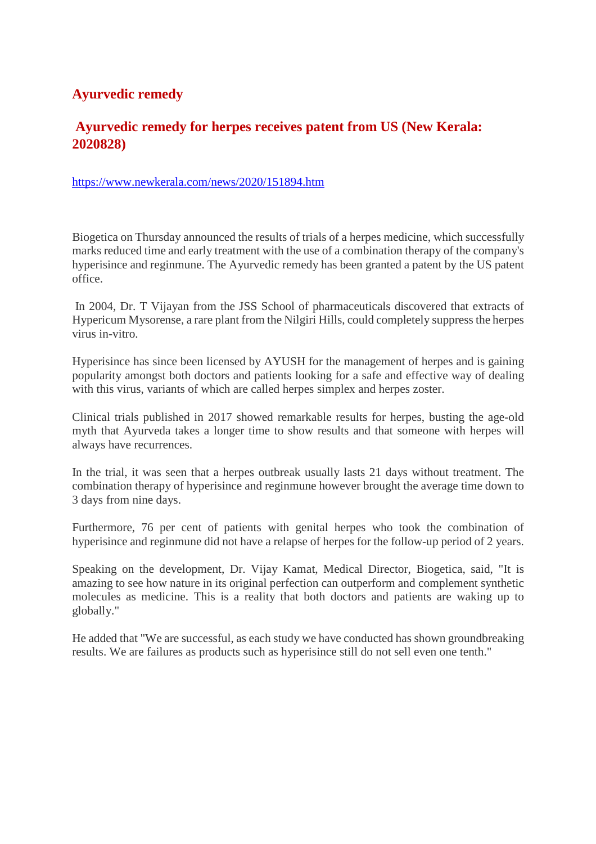#### **Ayurvedic remedy**

#### **Ayurvedic remedy for herpes receives patent from US (New Kerala: 2020828)**

https://www.newkerala.com/news/2020/151894.htm

Biogetica on Thursday announced the results of trials of a herpes medicine, which successfully marks reduced time and early treatment with the use of a combination therapy of the company's hyperisince and reginmune. The Ayurvedic remedy has been granted a patent by the US patent office.

In 2004, Dr. T Vijayan from the JSS School of pharmaceuticals discovered that extracts of Hypericum Mysorense, a rare plant from the Nilgiri Hills, could completely suppress the herpes virus in-vitro.

Hyperisince has since been licensed by AYUSH for the management of herpes and is gaining popularity amongst both doctors and patients looking for a safe and effective way of dealing with this virus, variants of which are called herpes simplex and herpes zoster.

Clinical trials published in 2017 showed remarkable results for herpes, busting the age-old myth that Ayurveda takes a longer time to show results and that someone with herpes will always have recurrences.

In the trial, it was seen that a herpes outbreak usually lasts 21 days without treatment. The combination therapy of hyperisince and reginmune however brought the average time down to 3 days from nine days.

Furthermore, 76 per cent of patients with genital herpes who took the combination of hyperisince and reginmune did not have a relapse of herpes for the follow-up period of 2 years.

Speaking on the development, Dr. Vijay Kamat, Medical Director, Biogetica, said, "It is amazing to see how nature in its original perfection can outperform and complement synthetic molecules as medicine. This is a reality that both doctors and patients are waking up to globally."

He added that "We are successful, as each study we have conducted has shown groundbreaking results. We are failures as products such as hyperisince still do not sell even one tenth."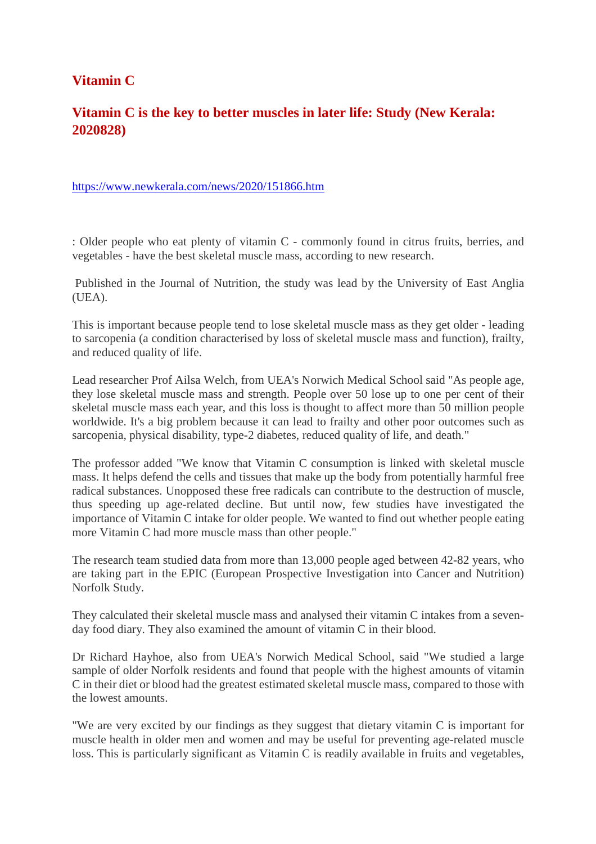#### **Vitamin C**

#### **Vitamin C is the key to better muscles in later life: Study (New Kerala: 2020828)**

#### https://www.newkerala.com/news/2020/151866.htm

: Older people who eat plenty of vitamin C - commonly found in citrus fruits, berries, and vegetables - have the best skeletal muscle mass, according to new research.

Published in the Journal of Nutrition, the study was lead by the University of East Anglia (UEA).

This is important because people tend to lose skeletal muscle mass as they get older - leading to sarcopenia (a condition characterised by loss of skeletal muscle mass and function), frailty, and reduced quality of life.

Lead researcher Prof Ailsa Welch, from UEA's Norwich Medical School said "As people age, they lose skeletal muscle mass and strength. People over 50 lose up to one per cent of their skeletal muscle mass each year, and this loss is thought to affect more than 50 million people worldwide. It's a big problem because it can lead to frailty and other poor outcomes such as sarcopenia, physical disability, type-2 diabetes, reduced quality of life, and death."

The professor added "We know that Vitamin C consumption is linked with skeletal muscle mass. It helps defend the cells and tissues that make up the body from potentially harmful free radical substances. Unopposed these free radicals can contribute to the destruction of muscle, thus speeding up age-related decline. But until now, few studies have investigated the importance of Vitamin C intake for older people. We wanted to find out whether people eating more Vitamin C had more muscle mass than other people."

The research team studied data from more than 13,000 people aged between 42-82 years, who are taking part in the EPIC (European Prospective Investigation into Cancer and Nutrition) Norfolk Study.

They calculated their skeletal muscle mass and analysed their vitamin C intakes from a sevenday food diary. They also examined the amount of vitamin C in their blood.

Dr Richard Hayhoe, also from UEA's Norwich Medical School, said "We studied a large sample of older Norfolk residents and found that people with the highest amounts of vitamin C in their diet or blood had the greatest estimated skeletal muscle mass, compared to those with the lowest amounts.

"We are very excited by our findings as they suggest that dietary vitamin C is important for muscle health in older men and women and may be useful for preventing age-related muscle loss. This is particularly significant as Vitamin C is readily available in fruits and vegetables,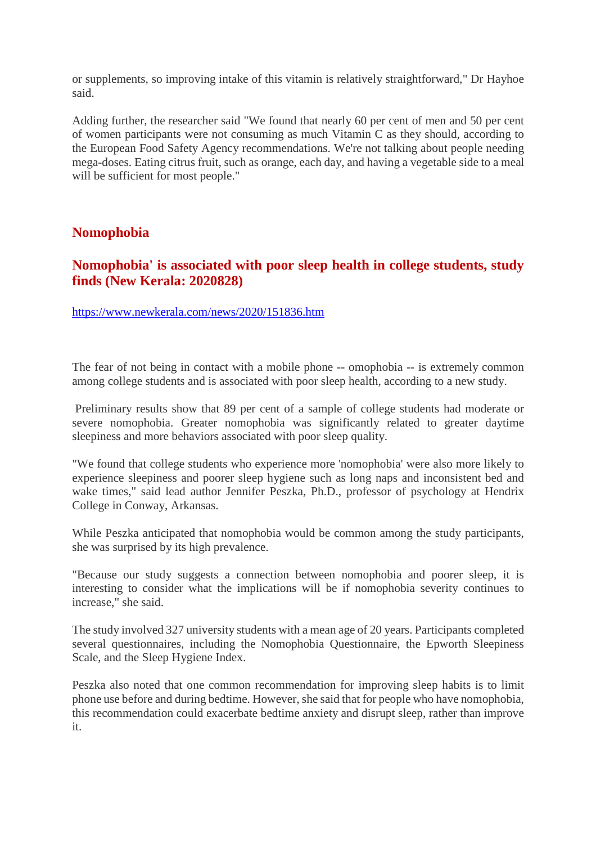or supplements, so improving intake of this vitamin is relatively straightforward," Dr Hayhoe said.

Adding further, the researcher said "We found that nearly 60 per cent of men and 50 per cent of women participants were not consuming as much Vitamin C as they should, according to the European Food Safety Agency recommendations. We're not talking about people needing mega-doses. Eating citrus fruit, such as orange, each day, and having a vegetable side to a meal will be sufficient for most people."

#### **Nomophobia**

#### **Nomophobia' is associated with poor sleep health in college students, study finds (New Kerala: 2020828)**

https://www.newkerala.com/news/2020/151836.htm

The fear of not being in contact with a mobile phone -- omophobia -- is extremely common among college students and is associated with poor sleep health, according to a new study.

Preliminary results show that 89 per cent of a sample of college students had moderate or severe nomophobia. Greater nomophobia was significantly related to greater daytime sleepiness and more behaviors associated with poor sleep quality.

"We found that college students who experience more 'nomophobia' were also more likely to experience sleepiness and poorer sleep hygiene such as long naps and inconsistent bed and wake times," said lead author Jennifer Peszka, Ph.D., professor of psychology at Hendrix College in Conway, Arkansas.

While Peszka anticipated that nomophobia would be common among the study participants, she was surprised by its high prevalence.

"Because our study suggests a connection between nomophobia and poorer sleep, it is interesting to consider what the implications will be if nomophobia severity continues to increase," she said.

The study involved 327 university students with a mean age of 20 years. Participants completed several questionnaires, including the Nomophobia Questionnaire, the Epworth Sleepiness Scale, and the Sleep Hygiene Index.

Peszka also noted that one common recommendation for improving sleep habits is to limit phone use before and during bedtime. However, she said that for people who have nomophobia, this recommendation could exacerbate bedtime anxiety and disrupt sleep, rather than improve it.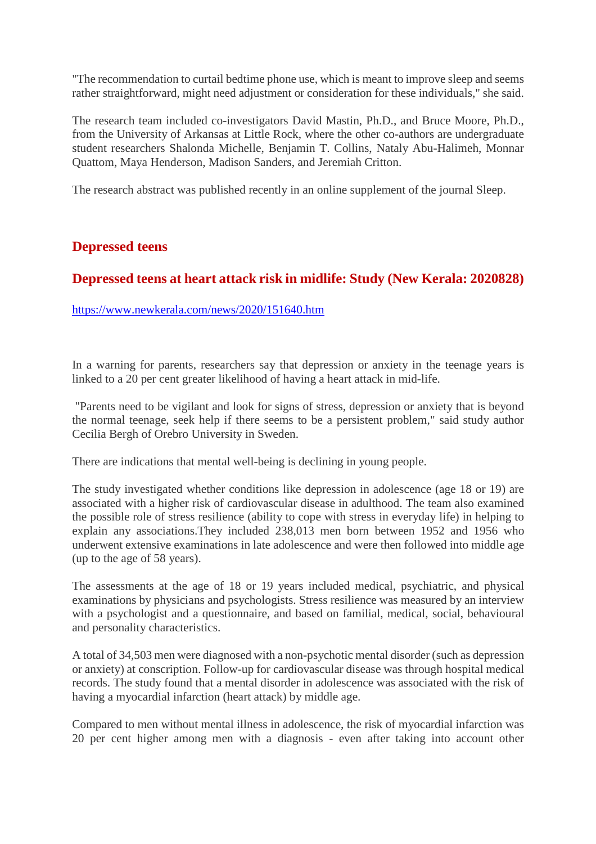"The recommendation to curtail bedtime phone use, which is meant to improve sleep and seems rather straightforward, might need adjustment or consideration for these individuals," she said.

The research team included co-investigators David Mastin, Ph.D., and Bruce Moore, Ph.D., from the University of Arkansas at Little Rock, where the other co-authors are undergraduate student researchers Shalonda Michelle, Benjamin T. Collins, Nataly Abu-Halimeh, Monnar Quattom, Maya Henderson, Madison Sanders, and Jeremiah Critton.

The research abstract was published recently in an online supplement of the journal Sleep.

#### **Depressed teens**

#### **Depressed teens at heart attack risk in midlife: Study (New Kerala: 2020828)**

https://www.newkerala.com/news/2020/151640.htm

In a warning for parents, researchers say that depression or anxiety in the teenage years is linked to a 20 per cent greater likelihood of having a heart attack in mid-life.

"Parents need to be vigilant and look for signs of stress, depression or anxiety that is beyond the normal teenage, seek help if there seems to be a persistent problem," said study author Cecilia Bergh of Orebro University in Sweden.

There are indications that mental well-being is declining in young people.

The study investigated whether conditions like depression in adolescence (age 18 or 19) are associated with a higher risk of cardiovascular disease in adulthood. The team also examined the possible role of stress resilience (ability to cope with stress in everyday life) in helping to explain any associations.They included 238,013 men born between 1952 and 1956 who underwent extensive examinations in late adolescence and were then followed into middle age (up to the age of 58 years).

The assessments at the age of 18 or 19 years included medical, psychiatric, and physical examinations by physicians and psychologists. Stress resilience was measured by an interview with a psychologist and a questionnaire, and based on familial, medical, social, behavioural and personality characteristics.

A total of 34,503 men were diagnosed with a non-psychotic mental disorder (such as depression or anxiety) at conscription. Follow-up for cardiovascular disease was through hospital medical records. The study found that a mental disorder in adolescence was associated with the risk of having a myocardial infarction (heart attack) by middle age.

Compared to men without mental illness in adolescence, the risk of myocardial infarction was 20 per cent higher among men with a diagnosis - even after taking into account other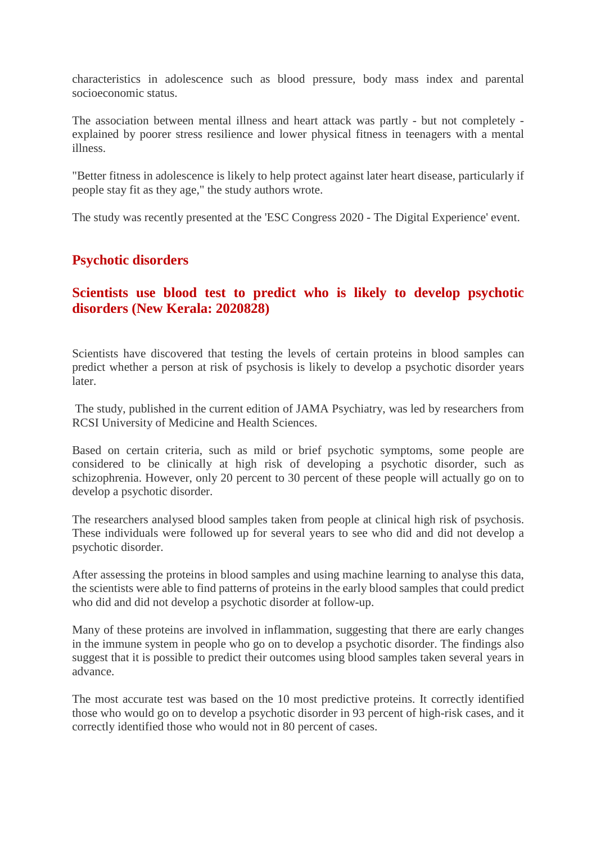characteristics in adolescence such as blood pressure, body mass index and parental socioeconomic status.

The association between mental illness and heart attack was partly - but not completely explained by poorer stress resilience and lower physical fitness in teenagers with a mental illness.

"Better fitness in adolescence is likely to help protect against later heart disease, particularly if people stay fit as they age," the study authors wrote.

The study was recently presented at the 'ESC Congress 2020 - The Digital Experience' event.

#### **Psychotic disorders**

#### **Scientists use blood test to predict who is likely to develop psychotic disorders (New Kerala: 2020828)**

Scientists have discovered that testing the levels of certain proteins in blood samples can predict whether a person at risk of psychosis is likely to develop a psychotic disorder years later.

The study, published in the current edition of JAMA Psychiatry, was led by researchers from RCSI University of Medicine and Health Sciences.

Based on certain criteria, such as mild or brief psychotic symptoms, some people are considered to be clinically at high risk of developing a psychotic disorder, such as schizophrenia. However, only 20 percent to 30 percent of these people will actually go on to develop a psychotic disorder.

The researchers analysed blood samples taken from people at clinical high risk of psychosis. These individuals were followed up for several years to see who did and did not develop a psychotic disorder.

After assessing the proteins in blood samples and using machine learning to analyse this data, the scientists were able to find patterns of proteins in the early blood samples that could predict who did and did not develop a psychotic disorder at follow-up.

Many of these proteins are involved in inflammation, suggesting that there are early changes in the immune system in people who go on to develop a psychotic disorder. The findings also suggest that it is possible to predict their outcomes using blood samples taken several years in advance.

The most accurate test was based on the 10 most predictive proteins. It correctly identified those who would go on to develop a psychotic disorder in 93 percent of high-risk cases, and it correctly identified those who would not in 80 percent of cases.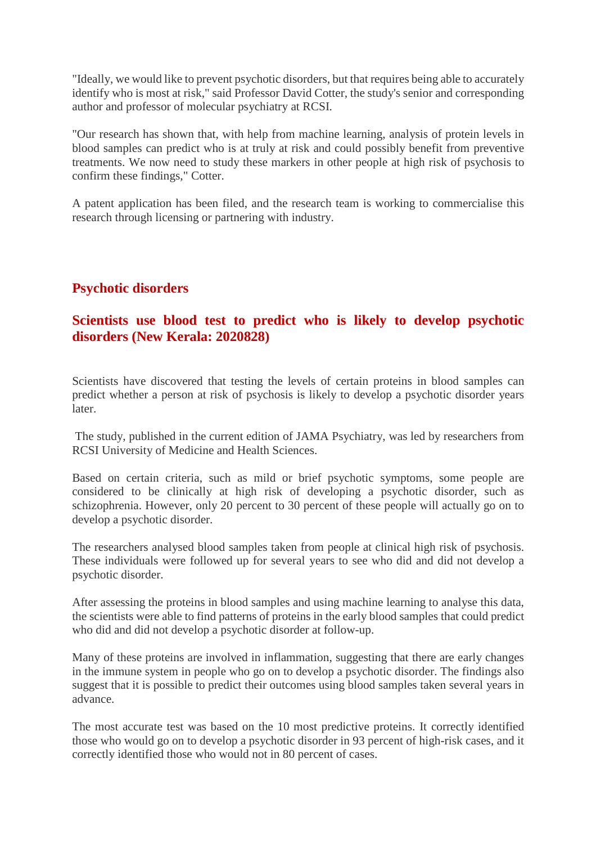"Ideally, we would like to prevent psychotic disorders, but that requires being able to accurately identify who is most at risk," said Professor David Cotter, the study's senior and corresponding author and professor of molecular psychiatry at RCSI.

"Our research has shown that, with help from machine learning, analysis of protein levels in blood samples can predict who is at truly at risk and could possibly benefit from preventive treatments. We now need to study these markers in other people at high risk of psychosis to confirm these findings," Cotter.

A patent application has been filed, and the research team is working to commercialise this research through licensing or partnering with industry.

#### **Psychotic disorders**

#### **Scientists use blood test to predict who is likely to develop psychotic disorders (New Kerala: 2020828)**

Scientists have discovered that testing the levels of certain proteins in blood samples can predict whether a person at risk of psychosis is likely to develop a psychotic disorder years later.

The study, published in the current edition of JAMA Psychiatry, was led by researchers from RCSI University of Medicine and Health Sciences.

Based on certain criteria, such as mild or brief psychotic symptoms, some people are considered to be clinically at high risk of developing a psychotic disorder, such as schizophrenia. However, only 20 percent to 30 percent of these people will actually go on to develop a psychotic disorder.

The researchers analysed blood samples taken from people at clinical high risk of psychosis. These individuals were followed up for several years to see who did and did not develop a psychotic disorder.

After assessing the proteins in blood samples and using machine learning to analyse this data, the scientists were able to find patterns of proteins in the early blood samples that could predict who did and did not develop a psychotic disorder at follow-up.

Many of these proteins are involved in inflammation, suggesting that there are early changes in the immune system in people who go on to develop a psychotic disorder. The findings also suggest that it is possible to predict their outcomes using blood samples taken several years in advance.

The most accurate test was based on the 10 most predictive proteins. It correctly identified those who would go on to develop a psychotic disorder in 93 percent of high-risk cases, and it correctly identified those who would not in 80 percent of cases.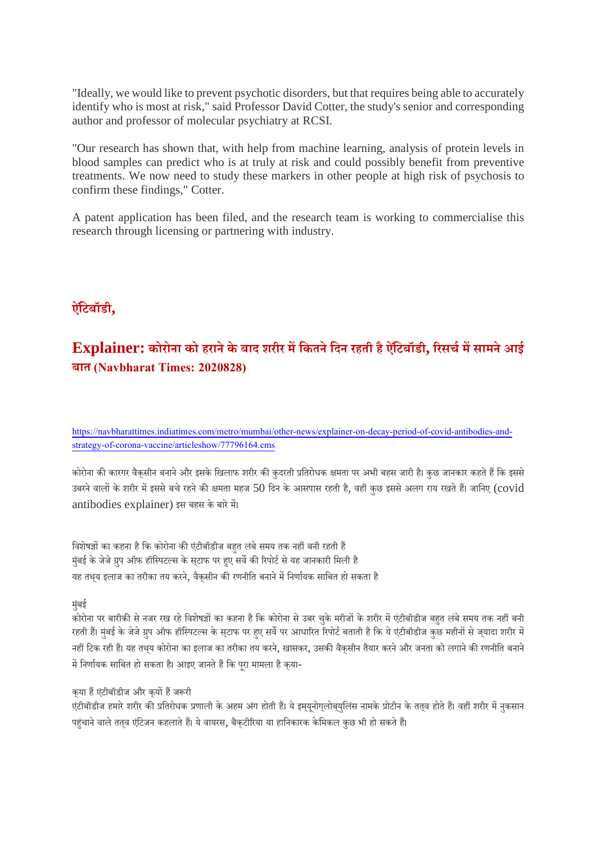"Ideally, we would like to prevent psychotic disorders, but that requires being able to accurately identify who is most at risk," said Professor David Cotter, the study's senior and corresponding author and professor of molecular psychiatry at RCSI.

"Our research has shown that, with help from machine learning, analysis of protein levels in blood samples can predict who is at truly at risk and could possibly benefit from preventive treatments. We now need to study these markers in other people at high risk of psychosis to confirm these findings," Cotter.

A patent application has been filed, and the research team is working to commercialise this research through licensing or partnering with industry.

#### **ऐिंटबॉडी,**

#### **Explainer: कोरोना को हरानेके बाद शरीर मिकतनेिदन रहती हैऐिंटबॉडी, रसचमसामनेआई बात (Navbharat Times: 2020828)**

https://navbharattimes.indiatimes.com/metro/mumbai/other-news/explainer-on-decay-period-of-covid-antibodies-andstrategy-of-corona-vaccine/articleshow/77796164.cms

कोरोना की कारगर वैकसीन बनाने और इसके खिलाफ शरीर की कुदरती प्रतिरोधक क्षमता पर अभी बहस जारी है। कुछ जानकार कहते हैं कि इससे उबरने वालों के शरीर में इससे बचे रहने की क्षमता महज 50 दिन के आसपास रहती है, वहीं कछ इससे अलग राय रखते हैं। जानिए (covid antibodies explainer) इस बहस के बारेम।

विशेषज्ञों का कहना है कि कोरोना की एंटीबॉडीज बहत लंबे समय तक नहीं बनी रहती हैं मंबई के जेजे ग्रुप ऑफ हॉस्पिटल्स के सटाफ पर हए सर्वे की रिपोर्ट से यह जानकारी मिली है यह तथय इलाज का तरीका तय करने, वैकसीन की रणनीति बनाने में निर्णायक साबित हो सकता है

#### मंबुई

.<br>कोरोना पर बारीकी से नजर रख रहे विशेषज्ञों का कहना है कि कोरोना से उबर चुके मरीजों के शरीर में एंटीबॉडीज बहत लंबे समय तक नहीं बनी रहती हैं। मंबई के जेजे ग्रुप ऑफ हॉस्पिटल्स के सुटाफ पर हए सर्वे पर आधारित रिपोर्ट बताती है कि ये एंटीबॉडीज कुछ महीनों से जयादा शरीर में नहीं टिक रही हैं। यह तथय कोरोना का इलाज का तरीका तय करने, खासकर, उसकी वैकसीन तैयार करने और जनता को लगाने की रणनीति बनाने में निर्णायक साबित हो सकता है। आइए जानते हैं कि परा मामला है कया-

#### कया हैं एंटीबॉडीज और कयों हैं जरूरी

एंटीबॉडीज हमारे शरीर की प्रतिरोधक प्रणाली के अहम अंग होती हैं। ये इमयनोगलोबयुलिंस नामके प्रोटीन के ततव होते हैं। वहीं शरीर में नकसान पहंचाने वाले ततव एंटिजन कहलाते हैं। ये वायरस, बैकटीरिया या हानिकारक केमिकल कुछ भी हो सकते हैं।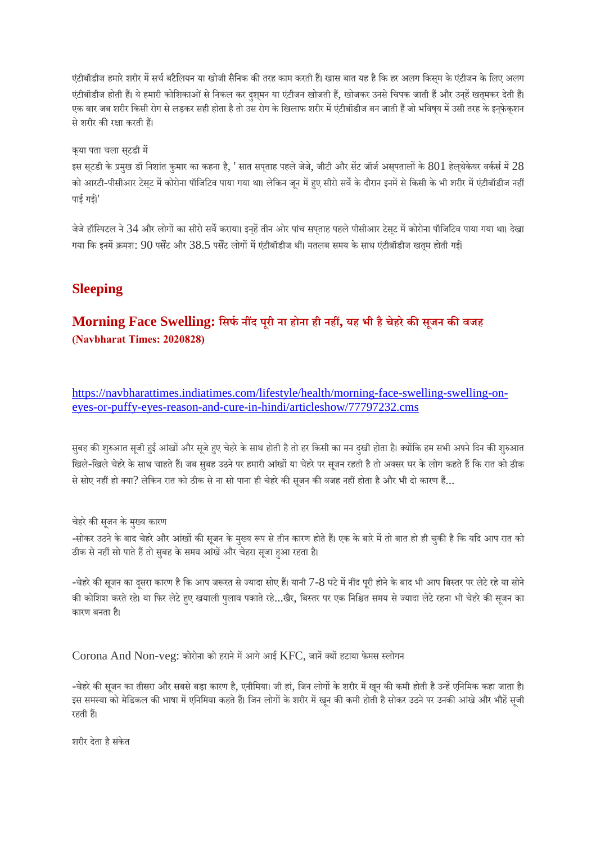एंटीबॉडीज हमारे शरीर में सर्च बटैलियन या खोजी सैनिक की तरह काम करती हैं। खास बात यह है कि हर अलग किसम के एंटीजन के लिए अलग एंटीबॉडीज होती हैं। ये हमारी कोशिकाओं से निकल कर दशुमन या एंटीजन खोजती हैं, खोजकर उनसे चिपक जाती हैं और उनहें खतुमकर देती हैं। एक बार जब शरीर किसी रोग से लड़कर सही होता है तो उस रोग के खिलाफ शरीर में एंटीबॉडीज बन जाती हैं जो भविषय में उसी तरह के इनफेकशन से शरीर की रक्षा करती हैं।

क्या पता चला सट्डी म

इस सटडी के प्रमुख डॉ निशांत कुमार का कहना है, ' सात सपताह पहले जेजे, जीटी और सेंट जॉर्ज असुपतालों के  $801$  हेलथेकेयर वर्कर्स में  $28$ को आरटी-पीसीआर टेसट में कोरोना पॉजिटिव पाया गया था। लेकिन जन में हए सीरो सर्वे के दौरान इनमें से किसी के भी शरीर में एंटीबॉडीज नहीं पाई गई।'<br>'

जेजे हॉस्पिटल ने 34 और लोगों का सीरो सर्वे कराया। इनहें तीन ओर पांच सपताह पहले पीसीआर टेस्ट में कोरोना पॉजिटिव पाया गया था। देखा गया कि इनमें क्रमश:  $90$  पर्सेंट और  $38.5$  पर्सेंट लोगों में एंटीबॉडीज थीं। मतलब समय के साथ एंटीबॉडीज खत्म होती गई।

#### **Sleeping**

#### **Morning Face Swelling: िसफनद पूरी ना होना ही नह, यह भी हैचेहरेकसजू न कवजह (Navbharat Times: 2020828)**

https://navbharattimes.indiatimes.com/lifestyle/health/morning-face-swelling-swelling-oneyes-or-puffy-eyes-reason-and-cure-in-hindi/articleshow/77797232.cms

सुबह की शुरुआत सूजी हुई आंखों और सूजे हुए चेहरे के साथ होती है तो हर किसी का मन दुखी होता है। क्योंकि हम सभी अपने दिन की शुरुआत खिले-खिले चेहरे के साथ चाहते हैं। जब सुबह उठने पर हमारी आंखों या चेहरे पर सुजन रहती है तो अक्सर घर के लोग कहते हैं कि रात को ठीक से सोए नहीं हो क्या? लेकिन रात को ठीक से ना सो पाना ही चेहरे की सूजन की वजह नहीं होता है और भी दो कारण हैं...

चेहरे की सूजन के मुख्य कारण

-सोकर उठने के बाद चेहरे और आंखों की सूजन के मुख्य रूप से तीन कारण होते हैं। एक के बारे में तो बात हो ही चुकी है कि यदि आप रात को ठीक से नहीं सो पाते हैं तो सुबह के समय आंखें और चेहरा सूजा हुआ रहता है।

-चेहरे की सूजन का दसरा कारण है कि आप जरूरत से ज्यादा सोए हैं। यानी 7-8 घंटे में नींद पूरी होने के बाद भी आप बिस्तर पर लेटे रहे या सोने की कोशिश करते रहे। या फिर लेटे हए खयाली पुलाव पकाते रहे...खैर, बिस्तर पर एक निश्चित समय से ज्यादा लेटे रहना भी चेहरे की सुजन का कारण बनता ह।ै

Corona And Non-veg: कोरोना को हराने में आगे आई KFC, जानें क्यों हटाया फेमस स्लोगन

-चेहरे की सजन का तीसरा और सबसे बड़ा कारण है, एनीमिया। जी हां, जिन लोगों के शरीर में खन की कमी होती है उन्हें एनिमिक कहा जाता है। इस समस्या को मेडिकल की भाषा में एनिमिया कहते हैं। जिन लोगों के शरीर में खुन की कमी होती है सोकर उठने पर उनकी आंखे और भौहें सुजी रहती ह।

शरीर देता हैसंकेत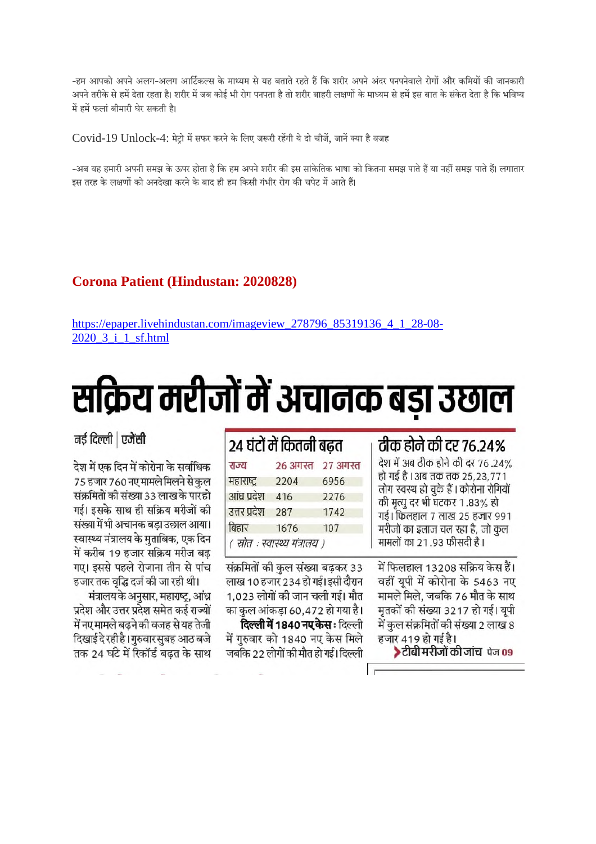-हम आपको अपने अलग-अलग आर्टिकल्स के माध्यम से यह बताते रहते हैं कि शरीर अपने अंदर पनपनेवाले रोगों और कमियों की जानकारी अपने तरीके से हमें देता रहता है। शरीर में जब कोई भी रोग पनपता है तो शरीर बाहरी लक्षणों के माध्यम से हमें इस बात के संकेत देता है कि भविष्य में हमें फलां बीमारी घेर सकती है।

Covid-19 Unlock-4: मेटो में सफर करने के लिए जरूरी रहेंगी ये दो चीजें. जानें क्या है वजह

-अब यह हमारी अपनी समझ के ऊपर होता है कि हम अपने शरीर की इस सांकेतिक भाषा को कितना समझ पाते हैं या नहीं समझ पाते हैं। लगातार इस तरह के लक्षणों को अनदेखा करने के बाद ही हम किसी गंभीर रोग की चपेट में आते हैं।

#### **Corona Patient (Hindustan: 2020828)**

https://epaper.livehindustan.com/imageview\_278796\_85319136\_4\_1\_28-08- 2020\_3\_i\_1\_sf.html

# सक्रिय मरीजों में अचानक बड़ा उछाल

 $. 3.3.0$ 

नई दिल्ली | एजेंसी

देश में एक दिन में कोरोना के सर्वाधिक 75 हजार 760 नए मामले मिलने से कुल संक्रमितों की संख्या 33 लाख के पारहो गई। इसके साथ ही सक्रिय मरीजों की संख्या में भी अचानक बड़ा उछाल आया। स्वास्थ्य मंत्रालय के मुताबिक, एक दिन में करीब 19 हजार सक्रिय मरीज बढ़ गए। इससे पहले रोजाना तीन से पांच हजार तक वृद्धि दर्ज की जा रही थी।

मंत्रालय के अनुसार, महाराष्ट्र, आंध्र प्रदेश और उत्तर प्रदेश समेत कई राज्यों में नए मामले बढ़ने की वजह से यह तेजी दिखाई दे रही है। गुरुवार सुबह आठ बजे तक 24 घंटे में रिकॉर्ड बढत के साथ

| २४ घटो मे कितनी बढत |                                |                   |
|---------------------|--------------------------------|-------------------|
| राज्य               |                                | 26 अगस्त 27 अगस्त |
| महाराष्ट्र          | 2204                           | 6956              |
| आंध्र प्रदेश        | 416                            | 2276              |
| उत्तर प्रदेश        | 287                            | 1742              |
| बिहार               | 1676                           | 107               |
|                     | ( स्रोत : स्वास्थ्य मंत्रालय ) |                   |

संक्रमितों की कुल संख्या बढ़कर 33 लाख 10 हजार 234 हो गई। इसी दौरान 1,023 लोगों की जान चली गई। मौत का कुल आंकड़ा 60,472 हो गया है। **दिल्ली में 1840 नए केस** : दिल्ली में गुरुवार को 1840 नए केस मिले जबकि 22 लोगों की मौत हो गई। दिल्ली

#### तीक होने की दर 76.24%

देश में अब ठीक होने की दर 76.24% हो गई है। अब तक तक 25,23,771 लोग स्वस्थ हो चुके हैं। कोरोना रोगियों की मृत्यु दर भी घटकर 1.83% हो गई। फिलहाल 7 लाख 25 हजार 991 मरीजों का इलाज चल रहा है, जो कुल मामलों का 21.93 फीसदी है।

में फिलहाल 13208 सक्रिय केस हैं। वहीं यूपी में कोरोना के 5463 नए मामले मिले, जबकि 76 मौत के साथ मृतकों की संख्या 3217 हो गई। यूपी .<br>में कुल संक्रमितों की संख्या 2 लाख 8 हजार 419 हो गई है।

>टीबी मरीजों की जांच पेज 09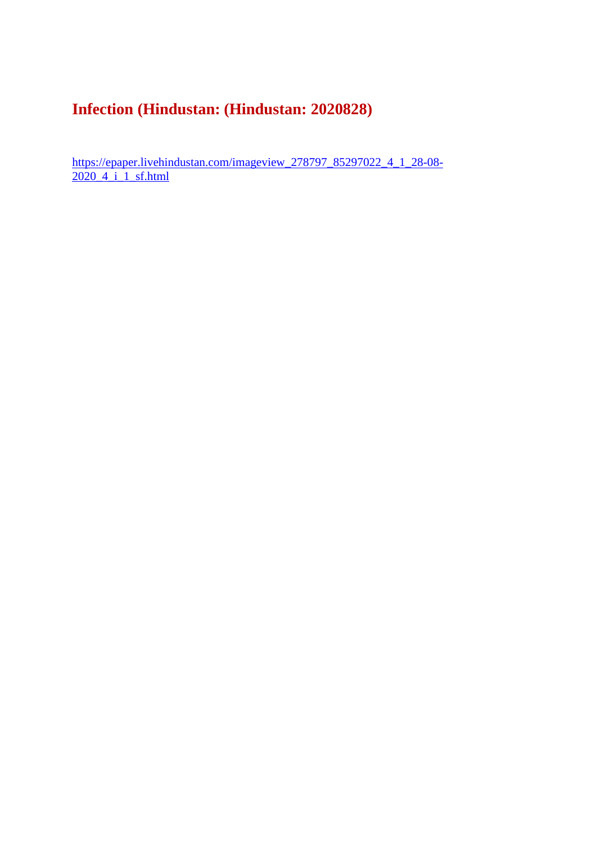### **Infection (Hindustan: (Hindustan: 2020828)**

https://epaper.livehindustan.com/imageview\_278797\_85297022\_4\_1\_28-08- 2020\_4\_i\_1\_sf.html